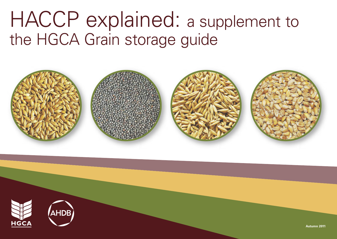# HACCP explained: a supplement to the HGCA Grain storage guide



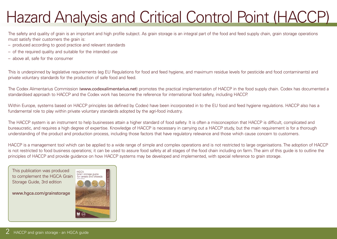## Hazard Analysis and Critical Control Point (HACCP)

The safety and quality of grain is an important and high profile subject. As grain storage is an integral part of the food and feed supply chain, grain storage operations must satisfy their customers the grain is:

- produced according to good practice and relevant standards
- of the required quality and suitable for the intended use
- above all, safe for the consumer

This is underpinned by legislative requirements (eg EU Regulations for food and feed hygiene, and maximum residue levels for pesticide and food contaminants) and private voluntary standards for the production of safe food and feed.

The Codex Alimentarius Commission (www.codexalimentarius.net) promotes the practical implementation of HACCP in the food supply chain. Codex has documented a standardised approach to HACCP and the Codex work has become the reference for international food safety, including HACCP.

Within Europe, systems based on HACCP principles (as defined by Codex) have been incorporated in to the EU food and feed hygiene regulations. HACCP also has a fundamental role to play within private voluntary standards adopted by the agri-food industry.

The HACCP system is an instrument to help businesses attain a higher standard of food safety. It is often a misconception that HACCP is difficult, complicated and bureaucratic, and requires a high degree of expertise. Knowledge of HACCP is necessary in carrying out a HACCP study, but the main requirement is for a thorough understanding of the product and production process, including those factors that have regulatory relevance and those which cause concern to customers.

HACCP is a management tool which can be applied to a wide range of simple and complex operations and is not restricted to large organisations. The adoption of HACCP is not restricted to food business operations; it can be used to assure food safety at all stages of the food chain including on farm. The aim of this guide is to outline the principles of HACCP and provide guidance on how HACCP systems may be developed and implemented, with special reference to grain storage.

This publication was produced to complement the HGCA Grain Storage Guide, 3rd edition

www.hgca.com/grainstorage

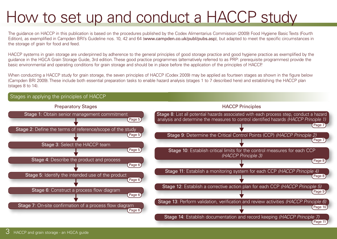## How to set up and conduct a HACCP study

The guidance on HACCP in this publication is based on the procedures published by the Codex Alimentarius Commission (2009) Food Hygiene Basic Texts (Fourth Edition), as exemplified in Campden BRI's Guideline nos. 10, 42 and 64 (www.campden.co.uk/publ/pubs.asp), but adapted to meet the specific circumstances in the storage of grain for food and feed.

HACCP systems in grain storage are underpinned by adherence to the general principles of good storage practice and good hygiene practice as exemplified by the guidance in the HGCA Grain Storage Guide, 3rd edition. These good practice programmes (alternatively referred to as PRP: prerequisite programmes) provide the basic environmental and operating conditions for grain storage and should be in place before the application of the principles of HACCP.

When conducting a HACCP study for grain storage, the seven principles of HACCP (Codex 2009) may be applied as fourteen stages as shown in the figure below (Campden BRI 2009). These include both essential preparation tasks to enable hazard analysis (stages 1 to 7 described here) and establishing the HACCP plan (stages 8 to 14).

#### Stages in applying the principles of HACCP Stage 1: Obtain senior management commitment Preparatory Stages Stage 2: Define the terms of reference/scope of the study Stage 3: Select the HACCP team Stage 4: Describe the product and process Stage 5: Identify the intended use of the product Stage 6: Construct a process flow diagram Stage 7: On-site confirmation of a process flow diagram Stage 8: List all potential hazards associated with each process step, conduct a hazard analysis and determine the measures to control identified hazards *(HACCP Principle 1)* HACCP Principles Stage 9: Determine the Critical Control Points (CCP) *(HACCP Principle 2)* Stage 10: Establish critical limits for the control measures for each CCP *(HACCP Principle 3)* Stage 11: Establish a monitoring system for each CCP *(HACCP Principle 4)* Stage 12: Establish a corrective action plan for each CCP *(HACCP Principle 5)* Stage 13: Perform validation, verification and review activities *(HACCP Principle 6)* Stage 14: Establish documentation and record keeping *(HACCP Principle 7)* Page 5 Page 5 Page 5 Page 6 Page 6 Page 6 Page 6 Page 7 Page 7 Page 8 Page 8 Page 9 Page 10

Page 11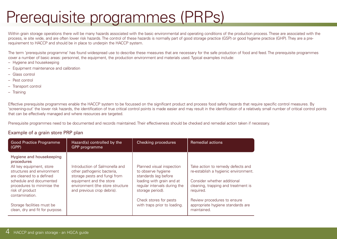## Prerequisite programmes (PRPs)

Within grain storage operations there will be many hazards associated with the basic environmental and operating conditions of the production process. These are associated with the process, ie site wide, and are often lower risk hazards. The control of these hazards is normally part of good storage practice (GSP) or good hygiene practice (GHP). They are a prerequirement to HACCP and should be in place to underpin the HACCP system.

The term 'prerequisite programme' has found widespread use to describe these measures that are necessary for the safe production of food and feed. The prerequisite programmes cover a number of basic areas: personnel, the equipment, the production environment and materials used. Typical examples include:

- Hygiene and housekeeping
- Equipment maintenance and calibration
- Glass control
- Pest control
- Transport control
- Training

Effective prerequisite programmes enable the HACCP system to be focussed on the significant product and process food safety hazards that require specific control measures. By 'screening-out' the lower risk hazards, the identification of true critical control points is made easier and may result in the identification of a relatively small number of critical control points that can be effectively managed and where resources are targeted.

Prerequisite programmes need to be documented and records maintained. Their effectiveness should be checked and remedial action taken if necessary.

### Example of a grain store PRP plan

| <b>Good Practice Programme</b><br>(GPP)                                                                                                                                                                                                                                                     | Hazard(s) controlled by the<br>GPP programme                                                                                                                                              | Checking procedures                                                                                                                                                                                                | <b>Remedial actions</b>                                                                                                                                                                                                                         |
|---------------------------------------------------------------------------------------------------------------------------------------------------------------------------------------------------------------------------------------------------------------------------------------------|-------------------------------------------------------------------------------------------------------------------------------------------------------------------------------------------|--------------------------------------------------------------------------------------------------------------------------------------------------------------------------------------------------------------------|-------------------------------------------------------------------------------------------------------------------------------------------------------------------------------------------------------------------------------------------------|
| Hygiene and housekeeping<br>procedures<br>All key equipment, store<br>structures and environment<br>are cleaned to a defined<br>schedule and documented<br>procedures to minimise the<br>risk of product<br>contamination.<br>Storage facilities must be<br>clean, dry and fit for purpose. | Introduction of Salmonella and<br>other pathogenic bacteria,<br>storage pests and fungi from<br>equipment and the store<br>environment (the store structure<br>and previous crop debris). | Planned visual inspection<br>to observe hygiene<br>standards (eg before<br>loading with grain and at<br>regular intervals during the<br>storage period).<br>Check stores for pests<br>with traps prior to loading. | Take action to remedy defects and<br>re-establish a hygienic environment.<br>Consider whether additional<br>cleaning, trapping and treatment is<br>required.<br>Review procedures to ensure<br>appropriate hygiene standards are<br>maintained. |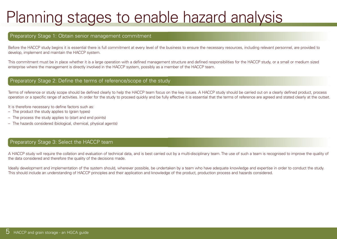### Planning stages to enable hazard analysis

#### Preparatory Stage 1: Obtain senior management commitment

Before the HACCP study begins it is essential there is full commitment at every level of the business to ensure the necessary resources, including relevant personnel, are provided to develop, implement and maintain the HACCP system.

This commitment must be in place whether it is a large operation with a defined management structure and defined responsibilities for the HACCP study, or a small or medium sized enterprise where the management is directly involved in the HACCP system, possibly as a member of the HACCP team.

#### Preparatory Stage 2: Define the terms of reference/scope of the study

Terms of reference or study scope should be defined clearly to help the HACCP team focus on the key issues. A HACCP study should be carried out on a clearly defined product, process operation or a specific range of activities. In order for the study to proceed quickly and be fully effective it is essential that the terms of reference are agreed and stated clearly at the outset.

It is therefore necessary to define factors such as:

- The product the study applies to (grain types)
- The process the study applies to (start and end points)
- The hazards considered (biological, chemical, physical agents)

#### Preparatory Stage 3: Select the HACCP team

A HACCP study will require the collation and evaluation of technical data, and is best carried out by a multi-disciplinary team. The use of such a team is recognised to improve the quality of the data considered and therefore the quality of the decisions made.

Ideally development and implementation of the system should, wherever possible, be undertaken by a team who have adequate knowledge and expertise in order to conduct the study. This should include an understanding of HACCP principles and their application and knowledge of the product, production process and hazards considered.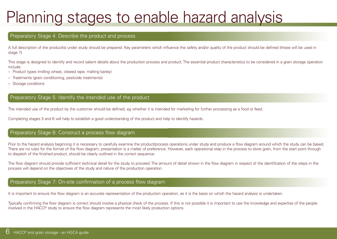## Planning stages to enable hazard analysis

#### Preparatory Stage 4: Describe the product and process

A full description of the product(s) under study should be prepared. Key parameters which influence the safety and/or quality of the product should be defined (these will be used in stage 7).

This stage is designed to identify and record salient details about the production process and product. The essential product characteristics to be considered in a grain storage operation include:

- Product types (milling wheat, oilseed rape, malting barley)
- Treatments (grain conditioning, pesticide treatments)
- Storage conditions

### Preparatory Stage 5: Identify the intended use of the product

The intended use of the product by the customer should be defined, eg whether it is intended for marketing for further processing as a food or feed.

Completing stages 5 and 6 will help to establish a good understanding of the product and help to identify hazards.

#### Preparatory Stage 6: Construct a process flow diagram

Prior to the hazard analysis beginning it is necessary to carefully examine the product/process operations under study and produce a flow diagram around which the study can be based. There are no rules for the format of the flow diagram; presentation is a matter of preference. However, each operational step in the process to store grain, from the start point through to dispatch of the finished product, should be clearly outlined in the correct sequence.

The flow diagram should provide sufficient technical detail for the study to proceed. The amount of detail shown in the flow diagram in respect of the identification of the steps in the process will depend on the objectives of the study and nature of the production operation.

### Preparatory Stage 7: On-site confirmation of a process flow diagram

It is important to ensure the flow diagram is an accurate representation of the production operation, as it is the basis on which the hazard analysis is undertaken.

Typically confirming the flow diagram is correct should involve a physical check of the process. If this is not possible it is important to use the knowledge and expertise of the people involved in the HACCP study to ensure the flow diagram represents the most likely production options.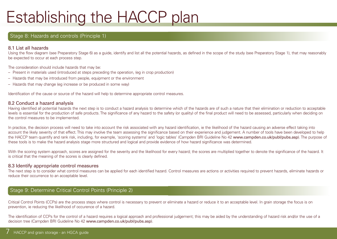### Stage 8: Hazards and controls (Principle 1)

#### 8.1 List all hazards

Using the flow diagram (see Preparatory Stage 6) as a quide, identify and list all the potential hazards, as defined in the scope of the study (see Preparatory Stage 1), that may reasonably be expected to occur at each process step.

The consideration should include hazards that may be:

- Present in materials used (introduced at steps preceding the operation, (eg in crop production)
- Hazards that may be introduced from people, equipment or the environment
- Hazards that may change (eg increase or be produced in some way)

Identification of the cause or source of the hazard will help to determine appropriate control measures.

#### 8.2 Conduct a hazard analysis

Having identified all potential hazards the next step is to conduct a hazard analysis to determine which of the hazards are of such a nature that their elimination or reduction to acceptable levels is essential for the production of safe products. The significance of any hazard to the safety (or quality) of the final product will need to be assessed, particularly when deciding on the control measures to be implemented.

In practice, the decision process will need to take into account the risk associated with any hazard identification, ie the likelihood of the hazard causing an adverse effect taking into account the likely severity of that effect. This may involve the team assessing the significance based on their experience and judgement. A number of tools have been developed to help the HACCP team quantify and rank risk, including, for example, 'scoring systems' and 'logic tables' (Campden BRI Guideline No 42 www.campden.co.uk/publ/pubs.asp). The purpose of these tools is to make the hazard analysis stage more structured and logical and provide evidence of how hazard significance was determined.

With the scoring system approach, scores are assigned for the severity and the likelihood for every hazard; the scores are multiplied together to denote the significance of the hazard. It is critical that the meaning of the scores is clearly defined.

#### 8.3 Identify appropriate control measures

The next step is to consider what control measures can be applied for each identified hazard. Control measures are actions or activities required to prevent hazards, eliminate hazards or reduce their occurrence to an acceptable level.

### Stage 9: Determine Critical Control Points (Principle 2)

Critical Control Points (CCPs) are the process steps where control is necessary to prevent or eliminate a hazard or reduce it to an acceptable level. In grain storage the focus is on prevention, ie reducing the likelihood of occurence of a hazard.

The identification of CCPs for the control of a hazard requires a logical approach and professional judgement; this may be aided by the understanding of hazard risk and/or the use of a decision tree (Campden BRI Guideline No 42 www.campden.co.uk/publ/pubs.asp).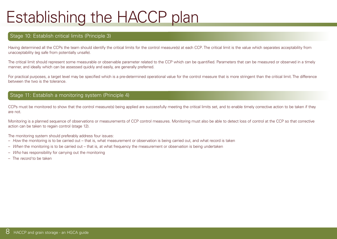#### Stage 10: Establish critical limits (Principle 3)

Having determined all the CCPs the team should identify the critical limits for the control measure(s) at each CCP. The critical limit is the value which separates acceptability from unacceptability (eg safe from potentially unsafe).

The critical limit should represent some measurable or observable parameter related to the CCP which can be quantified. Parameters that can be measured or observed in a timely manner, and ideally which can be assessed quickly and easily, are generally preferred.

For practical purposes, a target level may be specified which is a pre-determined operational value for the control measure that is more stringent than the critical limit. The difference between the two is the tolerance.

#### Stage 11: Establish a monitoring system (Principle 4)

CCPs must be monitored to show that the control measure(s) being applied are successfully meeting the critical limits set, and to enable timely corrective action to be taken if they are not.

Monitoring is a planned sequence of observations or measurements of CCP control measures. Monitoring must also be able to detect loss of control at the CCP so that corrective action can be taken to regain control (stage 12).

The monitoring system should preferably address four issues:

- *How* the monitoring is to be carried out that is, what measurement or observation is being carried out, and what record is taken
- *When* the monitoring is to be carried out that is, at what frequency the measurement or observation is being undertaken
- *Who* has responsibility for carrying out the monitoring
- The *record* to be taken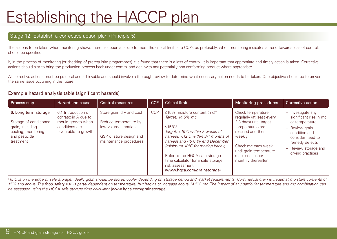#### Stage 12: Establish a corrective action plan (Principle 5)

The actions to be taken when monitoring shows there has been a failure to meet the critical limit (at a CCP), or, preferably, when monitoring indicates a trend towards loss of control, should be specified.

If, in the process of monitoring (or checking of prerequisite programmes) it is found that there is a loss of control, it is important that appropriate and timely action is taken. Corrective actions should aim to bring the production process back under control and deal with any potentially non-conforming product where appropriate.

All corrective actions must be practical and achievable and should involve a thorough review to determine what necessary action needs to be taken. One objective should be to prevent the same issue occurring in the future.

#### Example hazard analysis table (significant hazards)

| Process step                                                                                                            | Hazard and cause                                                                                          | <b>Control measures</b>                                                                                                       | <b>CCP</b> | <b>Critical limit</b>                                                                                                                                                                                                                                                                                                                                                             | Monitoring procedures                                                                                                                                                                                                  | Corrective action                                                                                                                                                                    |
|-------------------------------------------------------------------------------------------------------------------------|-----------------------------------------------------------------------------------------------------------|-------------------------------------------------------------------------------------------------------------------------------|------------|-----------------------------------------------------------------------------------------------------------------------------------------------------------------------------------------------------------------------------------------------------------------------------------------------------------------------------------------------------------------------------------|------------------------------------------------------------------------------------------------------------------------------------------------------------------------------------------------------------------------|--------------------------------------------------------------------------------------------------------------------------------------------------------------------------------------|
| 6. Long term storage<br>Storage of conditioned<br>grain, including<br>cooling, monitoring<br>and pesticide<br>treatment | 6.1 Introduction of<br>ochratoxin A due to<br>mould growth when<br>conditions are<br>favourable to growth | Store grain dry and cool<br>Reduce temperature by<br>low volume aeration<br>GSP of store design and<br>maintenance procedures | <b>CCP</b> | ≤15% moisture content (mc) <sup>+</sup><br>Target: 14.5% mc<br>$≤15°C+$<br>Target: $<$ 15°C within 2 weeks of<br>harvest, $\langle$ 12°C within 3-4 months of<br>harvest and $\langle 5^{\circ}$ C by end December<br>(minimum 10°C for malting barley)<br>Refer to the HGCA safe storage<br>time calculator for a safe storage<br>risk assessment<br>(www.hgca.com/grainstorage) | Check temperature<br>regularly (at least every<br>2-3 days) until target<br>temperatures are<br>reached and then<br>weekly<br>Check mc each week<br>until grain temperature<br>stabilises; check<br>monthly thereafter | $-$ Investigate any<br>significant rise in mc<br>or temperature<br>- Review grain<br>condition and<br>consider need to<br>remedy defects<br>- Review storage and<br>drying practices |

†*15˚C is on the edge of safe storage, ideally grain should be stored cooler depending on storage period and market requirements. Commercial grain is traded at moisture contents of 15% and above. The food safety risk is partly dependent on temperature, but begins to increase above 14.5% mc. The impact of any particular temperature and mc combination can be assessed using the HGCA safe storage time calculator* (www.hgca.com/grainstorage).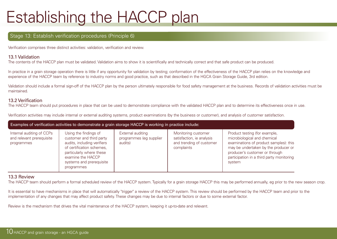#### Stage 13: Establish verification procedures (Principle 6)

Verification comprises three distinct activities: validation, verification and review.

#### 13.1 Validation

The contents of the HACCP plan must be validated. Validation aims to show it is scientifically and technically correct and that safe product can be produced.

In practice in a grain storage operation there is little if any opportunity for validation by testing; conformation of the effectiveness of the HACCP plan relies on the knowledge and experience of the HACCP team by reference to industry norms and good practice, such as that described in the HGCA Grain Storage Guide, 3rd edition.

Validation should include a formal sign-off of the HACCP plan by the person ultimately responsible for food safety management at the business. Records of validation activities must be maintained.

#### 13.2 Verification

The HACCP team should put procedures in place that can be used to demonstrate compliance with the validated HACCP plan and to determine its effectiveness once in use.

Verification activities may include internal or external auditing systems, product examinations (by the business or customer), and analysis of customer satisfaction.

| Examples of verification activities to demonstrate a grain storage HACCP is working in practice include: |                                                                                                                                                                                                          |                                                         |                                                                                            |                                                                                                                                                                                                                                          |  |  |  |  |
|----------------------------------------------------------------------------------------------------------|----------------------------------------------------------------------------------------------------------------------------------------------------------------------------------------------------------|---------------------------------------------------------|--------------------------------------------------------------------------------------------|------------------------------------------------------------------------------------------------------------------------------------------------------------------------------------------------------------------------------------------|--|--|--|--|
| Internal auditing of CCPs<br>and relevant prerequisite<br>programmes                                     | Using the findings of<br>customer and third party<br>audits, including verifiers<br>of certification schemes,<br>particularly where these<br>examine the HACCP<br>systems and prerequisite<br>programmes | External auditing<br>programmes (eg supplier<br>audits) | Monitoring customer<br>satisfaction, ie analysis<br>and trending of customer<br>complaints | Product testing (for example,<br>microbiological and chemical<br>examinations of product samples): this<br>may be undertaken by the producer or<br>producer's customer or through<br>participation in a third party monitoring<br>system |  |  |  |  |

#### 13.3 Review

The HACCP team should perform a formal scheduled review of the HACCP system. Typically for a grain storage HACCP this may be performed annually, eg prior to the new season crop.

It is essential to have mechanisms in place that will automatically "trigger" a review of the HACCP system. This review should be performed by the HACCP team and prior to the implementation of any changes that may affect product safety. These changes may be due to internal factors or due to some external factor.

Review is the mechanism that drives the vital maintenance of the HACCP system, keeping it up-to-date and relevant.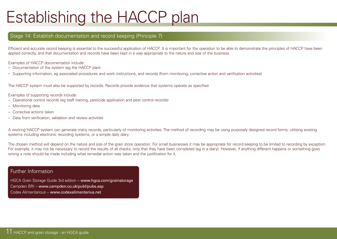#### Stage 14: Establish documentation and record keeping (Principle 7)

Efficient and accurate record keeping is essential to the successful application of HACCP. It is important for the operation to be able to demonstrate the principles of HACCP have been applied correctly, and that documentation and records have been kept in a way appropriate to the nature and size of the business.

Examples of HACCP documentation include:

- Documentation of the system (eg the HACCP plan)
- Supporting information, eg associated procedures and work instructions, and records (from monitoring, corrective action and verification activities)

The HACCP system must also be supported by records. Records provide evidence that systems operate as specified.

Examples of supporting records include:

- Operational control records (eg staff training, pesticide application and pest control records)
- Monitoring data
- Corrective actions taken
- Data from verification, validation and review activities

A working HACCP system can generate many records, particularly of monitoring activities. The method of recording may be using purposely designed record forms, utilising existing systems including electronic recording systems, or a simple daily diary.

The chosen method will depend on the nature and size of the grain store operation. For small businesses it may be appropriate for record keeping to be limited to recording by exception. For example, it may not be necessary to record the results of all checks, only that they have been completed (eg in a diary). However, if anything different happens or something goes wrong a note should be made including what remedial action was taken and the justification for it.

#### Further Information

HGCA Grain Storage Guide 3rd edition – www.hgca.com/grainstorage Campden BRI – www.campden.co.uk/publ/pubs.asp Codex Alimentarious – www.codexalimentarius.net